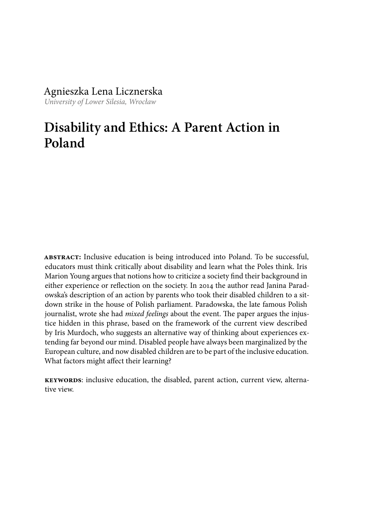# Agnieszka Lena Licznerska

*University of Lower Silesia, Wrocław*

# **Disability and Ethics: A Parent Action in Poland**

**abstract:** Inclusive education is being introduced into Poland. To be successful, educators must think critically about disability and learn what the Poles think. Iris Marion Young argues that notions how to criticize a society find their background in either experience or reflection on the society. In 2014 the author read Janina Paradowska's description of an action by parents who took their disabled children to a sitdown strike in the house of Polish parliament. Paradowska, the late famous Polish journalist, wrote she had *mixed feelings* about the event. The paper argues the injustice hidden in this phrase, based on the framework of the current view described by Iris Murdoch, who suggests an alternative way of thinking about experiences extending far beyond our mind. Disabled people have always been marginalized by the European culture, and now disabled children are to be part of the inclusive education. What factors might affect their learning?

**keywords**: inclusive education, the disabled, parent action, current view, alternative view.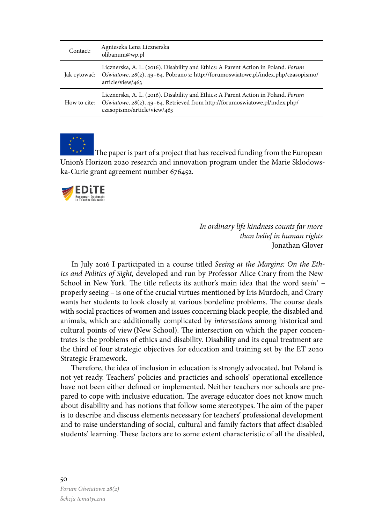| Contact:     | Agnieszka Lena Licznerska<br>olibanum@wp.pl                                                                                                                                                           |
|--------------|-------------------------------------------------------------------------------------------------------------------------------------------------------------------------------------------------------|
| Jak cytować: | Licznerska, A. L. (2016). Disability and Ethics: A Parent Action in Poland. Forum<br>Oświatowe, 28(2), 49–64. Pobrano z: http://forumoswiatowe.pl/index.php/czasopismo/<br>article/view/463           |
| How to cite: | Licznerska, A. L. (2016). Disability and Ethics: A Parent Action in Poland. Forum<br>Oświatowe, $28(2)$ , $49-64$ . Retrieved from http://forumoswiatowe.pl/index.php/<br>czasopismo/article/view/463 |

The paper is part of a project that has received funding from the European Union's Horizon 2020 research and innovation program under the Marie Sklodowska-Curie grant agreement number 676452.



*In ordinary life kindness counts far more than belief in human rights* Jonathan Glover

In July 2016 I participated in a course titled *Seeing at the Margins: On the Ethics and Politics of Sight,* developed and run by Professor Alice Crary from the New School in New York. The title reflects its author's main idea that the word *seein*' – properly seeing – is one of the crucial virtues mentioned by Iris Murdoch, and Crary wants her students to look closely at various bordeline problems. The course deals with social practices of women and issues concerning black people, the disabled and animals, which are additionally complicated by *intersections* among historical and cultural points of view (New School). The intersection on which the paper concentrates is the problems of ethics and disability. Disability and its equal treatment are the third of four strategic objectives for education and training set by the ET 2020 Strategic Framework.

Therefore, the idea of inclusion in education is strongly advocated, but Poland is not yet ready. Teachers' policies and practicies and schools' operational excellence have not been either defined or implemented. Neither teachers nor schools are prepared to cope with inclusive education. The average educator does not know much about disability and has notions that follow some stereotypes. The aim of the paper is to describe and discuss elements necessary for teachers' professional development and to raise understanding of social, cultural and family factors that affect disabled students' learning. These factors are to some extent characteristic of all the disabled,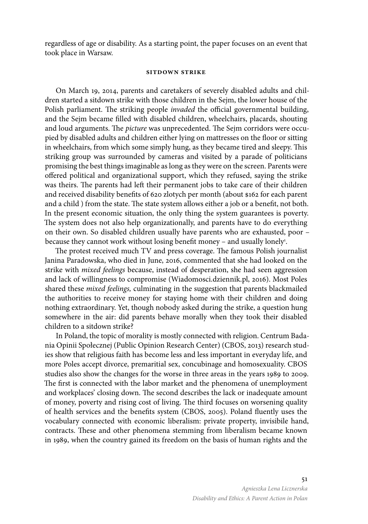regardless of age or disability. As a starting point, the paper focuses on an event that took place in Warsaw.

#### **sitdown strike**

On March 19, 2014, parents and caretakers of severely disabled adults and children started a sitdown strike with those children in the Sejm, the lower house of the Polish parliament. The striking people *invaded* the official governmental building, and the Sejm became filled with disabled children, wheelchairs, placards, shouting and loud arguments. The *picture* was unprecedented. The Sejm corridors were occupied by disabled adults and children either lying on mattresses on the floor or sitting in wheelchairs, from which some simply hung, as they became tired and sleepy. This striking group was surrounded by cameras and visited by a parade of politicians promising the best things imaginable as long as they were on the screen. Parents were offered political and organizational support, which they refused, saying the strike was theirs. The parents had left their permanent jobs to take care of their children and received disability benefits of 620 zlotych per month (about \$162 for each parent and a child ) from the state. The state system allows either a job or a benefit, not both. In the present economic situation, the only thing the system guarantees is poverty. The system does not also help organizationally, and parents have to do everything on their own. So disabled children usually have parents who are exhausted, poor – because they cannot work without losing benefit money – and usually lonely<sup>1</sup>.

The protest received much TV and press coverage. The famous Polish journalist Janina Paradowska, who died in June, 2016, commented that she had looked on the strike with *mixed feelings* because, instead of desperation, she had seen aggression and lack of willingness to compromise (Wiadomosci.dziennik.pl, 2016). Most Poles shared these *mixed feelings,* culminating in the suggestion that parents blackmailed the authorities to receive money for staying home with their children and doing nothing extraordinary. Yet, though nobody asked during the strike, a question hung somewhere in the air: did parents behave morally when they took their disabled children to a sitdown strike?

In Poland, the topic of morality is mostly connected with religion. Centrum Badania Opinii Społecznej (Public Opinion Research Center) (CBOS, 2013) research studies show that religious faith has become less and less important in everyday life, and more Poles accept divorce, premaritial sex, concubinage and homosexuality. CBOS studies also show the changes for the worse in three areas in the years 1989 to 2009. The first is connected with the labor market and the phenomena of unemployment and workplaces' closing down. The second describes the lack or inadequate amount of money, poverty and rising cost of living. The third focuses on worsening quality of health services and the benefits system (CBOS, 2005). Poland fluently uses the vocabulary connected with economic liberalism: private property, invisibile hand, contracts. These and other phenomena stemming from liberalism became known in 1989, when the country gained its freedom on the basis of human rights and the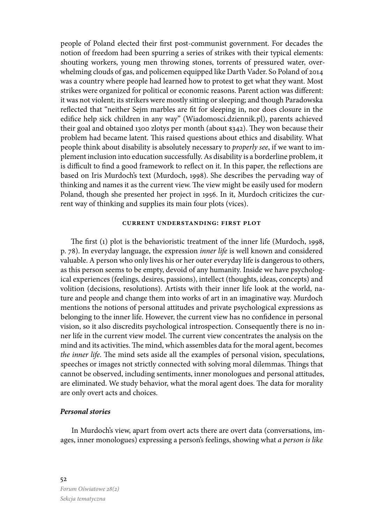people of Poland elected their first post-communist government. For decades the notion of freedom had been spurring a series of strikes with their typical elements: shouting workers, young men throwing stones, torrents of pressured water, overwhelming clouds of gas, and policemen equipped like Darth Vader. So Poland of 2014 was a country where people had learned how to protest to get what they want. Most strikes were organized for political or economic reasons. Parent action was different: it was not violent; its strikers were mostly sitting or sleeping; and though Paradowska reflected that "neither Sejm marbles are fit for sleeping in, nor does closure in the edifice help sick children in any way" (Wiadomosci.dziennik.pl), parents achieved their goal and obtained 1300 zlotys per month (about \$342). They won because their problem had became latent. This raised questions about ethics and disability. What people think about disability is absolutely necessary to *properly see*, if we want to implement inclusion into education successfully. As disability is a borderline problem, it is difficult to find a good framework to reflect on it. In this paper, the reflections are based on Iris Murdoch's text (Murdoch, 1998). She describes the pervading way of thinking and names it as the current view. The view might be easily used for modern Poland, though she presented her project in 1956. In it, Murdoch criticizes the current way of thinking and supplies its main four plots (vices).

#### **current understanding: first plot**

The first (1) plot is the behavioristic treatment of the inner life (Murdoch, 1998, p. 78). In everyday language, the expression *inner life* is well known and considered valuable. A person who only lives his or her outer everyday life is dangerous to others, as this person seems to be empty, devoid of any humanity. Inside we have psychological experiences (feelings, desires, passions), intellect (thoughts, ideas, concepts) and volition (decisions, resolutions). Artists with their inner life look at the world, nature and people and change them into works of art in an imaginative way. Murdoch mentions the notions of personal attitudes and private psychological expressions as belonging to the inner life. However, the current view has no confidence in personal vision, so it also discredits psychological introspection. Consequently there is no inner life in the current view model. The current view concentrates the analysis on the mind and its activities. The mind, which assembles data for the moral agent, becomes *the inner life*. The mind sets aside all the examples of personal vision, speculations, speeches or images not strictly connected with solving moral dilemmas. Things that cannot be observed, including sentiments, inner monologues and personal attitudes, are eliminated. We study behavior, what the moral agent does. The data for morality are only overt acts and choices.

# *Personal stories*

In Murdoch's view, apart from overt acts there are overt data (conversations, images, inner monologues) expressing a person's feelings, showing what *a person is like*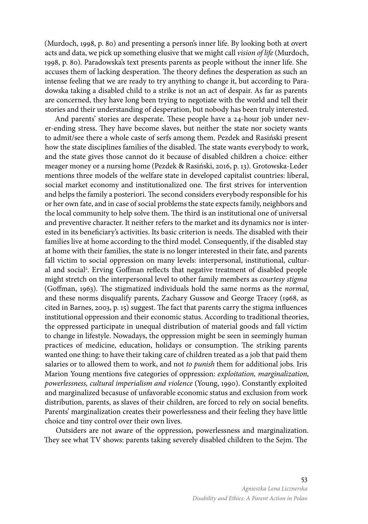(Murdoch, 1998, p. 80) and presenting a person's inner life. By looking both at overt acts and data, we pick up something elusive that we might call *vision of life* (Murdoch, 1998, p. 80). Paradowska's text presents parents as people without the inner life. She accuses them of lacking desperation. The theory defines the desperation as such an intense feeling that we are ready to try anything to change it, but according to Paradowska taking a disabled child to a strike is not an act of despair. As far as parents are concerned, they have long been trying to negotiate with the world and tell their stories and their understanding of desperation, but nobody has been truly interested.

And parents' stories are desperate. These people have a 24-hour job under never-ending stress. They have become slaves, but neither the state nor society wants to admit/see there a whole caste of serfs among them. Pezdek and Rasiński present how the state disciplines families of the disabled. The state wants everybody to work, and the state gives those cannot do it because of disabled children a choice: either meager money or a nursing home (Pezdek & Rasiński, 2016, p. 13). Grotowska-Leder mentions three models of the welfare state in developed capitalist countries: liberal, social market economy and institutionalized one. The first strives for intervention and helps the family a posteriori. The second considers everybody responsible for his or her own fate, and in case of social problems the state expects family, neighbors and the local community to help solve them. The third is an institutional one of universal and preventive character. It neither refers to the market and its dynamics nor is interested in its beneficiary's activities. Its basic criterion is needs. The disabled with their families live at home according to the third model. Consequently, if the disabled stay at home with their families, the state is no longer interested in their fate, and parents fall victim to social oppression on many levels: interpersonal, institutional, cultural and social<sup>2</sup>. Erving Goffman reflects that negative treatment of disabled people might stretch on the interpersonal level to other family members as *courtesy stigma*  (Goffman, 1963). The stigmatized individuals hold the same norms as the *normal,*  and these norms disqualify parents, Zachary Gussow and George Tracey (1968, as cited in Barnes, 2003, p. 15) suggest. The fact that parents carry the stigma influences institutional oppression and their economic status. According to traditional theories, the oppressed participate in unequal distribution of material goods and fall victim to change in lifestyle. Nowadays, the oppression might be seen in seemingly human practices of medicine, education, holidays or consumption. The striking parents wanted one thing: to have their taking care of children treated as a job that paid them salaries or to allowed them to work, and not *to punish* them for additional jobs. Iris Marion Young mentions five categories of oppression: *exploitation, marginalization, powerlessness, cultural imperialism and violence* (Young, 1990). Constantly exploited and marginalized becasuse of unfavorable economic status and exclusion from work distribution, parents, as slaves of their children, are forced to rely on social benefits. Parents' marginalization creates their powerlessness and their feeling they have little choice and tiny control over their own lives.

Outsiders are not aware of the oppression, powerlessness and marginalization. They see what TV shows: parents taking severely disabled children to the Sejm. The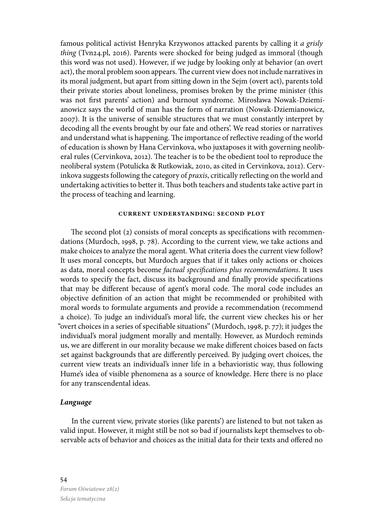famous political activist Henryka Krzywonos attacked parents by calling it *a grisly thing* (Tvn24.pl, 2016). Parents were shocked for being judged as immoral (though this word was not used). However, if we judge by looking only at behavior (an overt act), the moral problem soon appears. The current view does not include narratives in its moral judgment, but apart from sitting down in the Sejm (overt act), parents told their private stories about loneliness, promises broken by the prime minister (this was not first parents' action) and burnout syndrome. Mirosława Nowak-Dziemianowicz says the world of man has the form of narration (Nowak-Dziemianowicz, 2007). It is the universe of sensible structures that we must constantly interpret by decoding all the events brought by our fate and others'. We read stories or narratives and understand what is happening. The importance of reflective reading of the world of education is shown by Hana Cervinkova, who juxtaposes it with governing neoliberal rules (Cervinkova, 2012). The teacher is to be the obedient tool to reproduce the neoliberal system (Potulicka & Rutkowiak, 2010, as cited in Cervinkova, 2012). Cervinkova suggests following the category of *praxis*, critically reflecting on the world and undertaking activities to better it. Thus both teachers and students take active part in the process of teaching and learning.

#### **current understanding: second plot**

The second plot (2) consists of moral concepts as specifications with recommendations (Murdoch, 1998, p. 78). According to the current view, we take actions and make choices to analyze the moral agent. What criteria does the current view follow? It uses moral concepts, but Murdoch argues that if it takes only actions or choices as data, moral concepts become *factual specifications plus recommendations*. It uses words to specify the fact, discuss its background and finally provide specifications that may be different because of agent's moral code. The moral code includes an objective definition of an action that might be recommended or prohibited with moral words to formulate arguments and provide a recommendation (recommend a choice). To judge an individual's moral life, the current view checkes his or her "overt choices in a series of specifiable situations" (Murdoch, 1998, p. 77); it judges the individual's moral judgment morally and mentally. However, as Murdoch reminds us, we are different in our morality because we make different choices based on facts set against backgrounds that are differently perceived. By judging overt choices, the current view treats an individual's inner life in a behavioristic way, thus following Hume's idea of visible phenomena as a source of knowledge. Here there is no place for any transcendental ideas.

#### *Language*

In the current view, private stories (like parents') are listened to but not taken as valid input. However, it might still be not so bad if journalists kept themselves to observable acts of behavior and choices as the initial data for their texts and offered no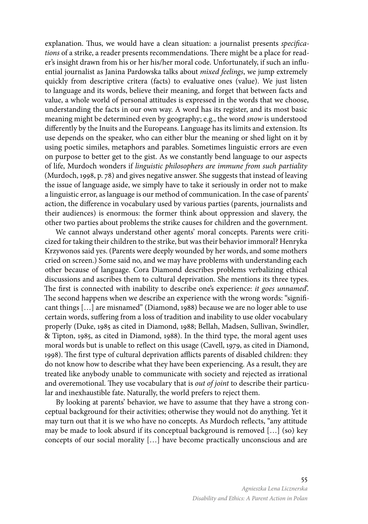explanation. Thus, we would have a clean situation: a journalist presents *specifications* of a strike, a reader presents recommendations. There might be a place for reader's insight drawn from his or her his/her moral code. Unfortunately, if such an influential journalist as Janina Pardowska talks about *mixed feelings*, we jump extremely quickly from descriptive critera (facts) to evaluative ones (value). We just listen to language and its words, believe their meaning, and forget that between facts and value, a whole world of personal attitudes is expressed in the words that we choose, understanding the facts in our own way. A word has its register, and its most basic meaning might be determined even by geography; e.g., the word *snow* is understood differently by the Inuits and the Europeans. Language has its limits and extension. Its use depends on the speaker, who can either blur the meaning or shed light on it by using poetic similes, metaphors and parables. Sometimes linguistic errors are even on purpose to better get to the gist. As we constantly bend language to our aspects of life, Murdoch wonders if *linguistic philosophers are immune from such partiality*  (Murdoch, 1998, p. 78) and gives negative answer. She suggests that instead of leaving the issue of language aside, we simply have to take it seriously in order not to make a linguistic error, as language is our method of communication. In the case of parents' action, the difference in vocabulary used by various parties (parents, journalists and their audiences) is enormous: the former think about oppression and slavery, the other two parties about problems the strike causes for children and the government.

We cannot always understand other agents' moral concepts. Parents were criticized for taking their children to the strike, but was their behavior immoral? Henryka Krzywonos said yes. (Parents were deeply wounded by her words, and some mothers cried on screen.) Some said no, and we may have problems with understanding each other because of language. Cora Diamond describes problems verbalizing ethical discussions and ascribes them to cultural deprivation. She mentions its three types. The first is connected with inability to describe one's experience: *it goes unnamed*'. The second happens when we describe an experience with the wrong words: "significant things […] are misnamed" (Diamond, 1988) because we are no loger able to use certain words, suffering from a loss of tradition and inability to use older vocabulary properly (Duke, 1985 as cited in Diamond, 1988; Bellah, Madsen, Sullivan, Swindler, & Tipton, 1985, as cited in Diamond, 1988). In the third type, the moral agent uses moral words but is unable to reflect on this usage (Cavell, 1979, as cited in Diamond, 1998). The first type of cultural deprivation afflicts parents of disabled children: they do not know how to describe what they have been experiencing. As a result, they are treated like anybody unable to communicate with society and rejected as irrational and overemotional. They use vocabulary that is *out of joint* to describe their particular and inexhaustible fate. Naturally, the world prefers to reject them.

By looking at parents' behavior, we have to assume that they have a strong conceptual background for their activities; otherwise they would not do anything. Yet it may turn out that it is we who have no concepts. As Murdoch reflects, "any attitude may be made to look absurd if its conceptual background is removed […] (so) key concepts of our social morality […] have become practically unconscious and are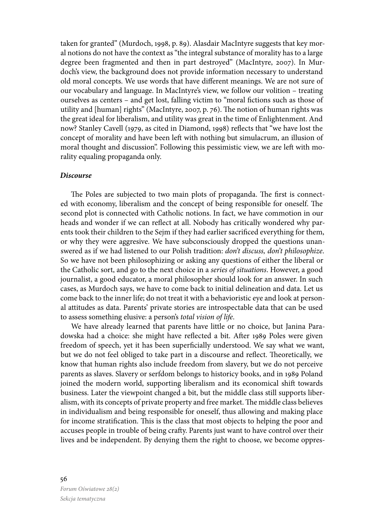taken for granted" (Murdoch, 1998, p. 89). Alasdair MacIntyre suggests that key moral notions do not have the context as "the integral substance of morality has to a large degree been fragmented and then in part destroyed" (MacIntyre, 2007). In Murdoch's view, the background does not provide information necessary to understand old moral concepts. We use words that have different meanings. We are not sure of our vocabulary and language. In MacIntyre's view, we follow our volition – treating ourselves as centers – and get lost, falling victim to "moral fictions such as those of utility and [human] rights" (MacIntyre, 2007, p. 76). The notion of human rights was the great ideal for liberalism, and utility was great in the time of Enlightenment. And now? Stanley Cavell (1979, as cited in Diamond, 1998) reflects that "we have lost the concept of morality and have been left with nothing but simulacrum, an illusion of moral thought and discussion". Following this pessimistic view, we are left with morality equaling propaganda only.

# *Discourse*

The Poles are subjected to two main plots of propaganda. The first is connected with economy, liberalism and the concept of being responsible for oneself. The second plot is connected with Catholic notions. In fact, we have commotion in our heads and wonder if we can reflect at all. Nobody has critically wondered why parents took their children to the Sejm if they had earlier sacrificed everything for them, or why they were aggresive. We have subconsciously dropped the questions unanswered as if we had listened to our Polish tradition: *don't discuss, don't philosophize*. So we have not been philosophizing or asking any questions of either the liberal or the Catholic sort, and go to the next choice in a *series of situations*. However, a good journalist, a good educator, a moral philosopher should look for an answer. In such cases, as Murdoch says, we have to come back to initial delineation and data. Let us come back to the inner life; do not treat it with a behavioristic eye and look at personal attitudes as data. Parents' private stories are introspectable data that can be used to assess something elusive: a person's *total vision of life*.

We have already learned that parents have little or no choice, but Janina Paradowska had a choice: she might have reflected a bit. After 1989 Poles were given freedom of speech, yet it has been superficially understood. We say what we want, but we do not feel obliged to take part in a discourse and reflect. Theoretically, we know that human rights also include freedom from slavery, but we do not perceive parents as slaves. Slavery or serfdom belongs to historicy books, and in 1989 Poland joined the modern world, supporting liberalism and its economical shift towards business. Later the viewpoint changed a bit, but the middle class still supports liberalism, with its concepts of private property and free market. The middle class believes in individualism and being responsible for oneself, thus allowing and making place for income stratification. This is the class that most objects to helping the poor and accuses people in trouble of being crafty. Parents just want to have control over their lives and be independent. By denying them the right to choose, we become oppres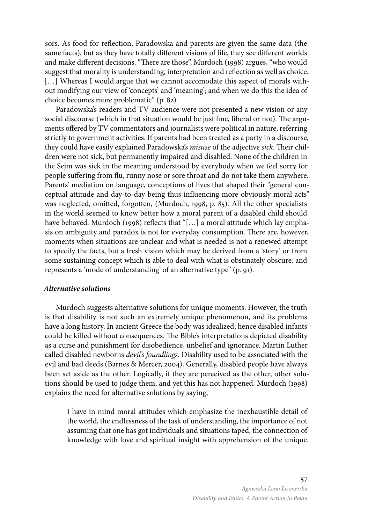sors. As food for reflection, Paradowska and parents are given the same data (the same facts), but as they have totally different visions of life, they see different worlds and make different decisions. "There are those", Murdoch (1998) argues, "who would suggest that morality is understanding, interpretation and reflection as well as choice. [...] Whereas I would argue that we cannot accomodate this aspect of morals without modifying our view of 'concepts' and 'meaning'; and when we do this the idea of choice becomes more problematic" (p. 82).

Paradowska's readers and TV audience were not presented a new vision or any social discourse (which in that situation would be just fine, liberal or not). The arguments offered by TV commentators and journalists were political in nature, referring strictly to government activities. If parents had been treated as a party in a discourse, they could have easily explained Paradowska's *misuse* of the adjective *sick*. Their children were not sick, but permanently impaired and disabled. None of the children in the Sejm was sick in the meaning understood by everybody when we feel sorry for people suffering from flu, runny nose or sore throat and do not take them anywhere. Parents' mediation on language, conceptions of lives that shaped their "general conceptual attitude and day-to-day being thus influencing more obviously moral acts" was neglected, omitted, forgotten, (Murdoch, 1998, p. 85). All the other specialists in the world seemed to know better how a moral parent of a disabled child should have behaved. Murdoch (1998) reflects that "[...] a moral attitude which lay emphasis on ambiguity and paradox is not for everyday consumption. There are, however, moments when situations are unclear and what is needed is not a renewed attempt to specify the facts, but a fresh vision which may be derived from a 'story' or from some sustaining concept which is able to deal with what is obstinately obscure, and represents a 'mode of understanding' of an alternative type" (p. 91).

# *Alternative solutions*

Murdoch suggests alternative solutions for unique moments. However, the truth is that disability is not such an extremely unique phenomenon, and its problems have a long history. In ancient Greece the body was idealized; hence disabled infants could be killed without consequences. The Bible's interpretations depicted disability as a curse and punishment for disobedience, unbelief and ignorance. Martin Luther called disabled newborns *devil's foundlings*. Disability used to be associated with the evil and bad deeds (Barnes & Mercer, 2004). Generally, disabled people have always been set aside as the other. Logically, if they are perceived as the other, other solutions should be used to judge them, and yet this has not happened. Murdoch (1998) explains the need for alternative solutions by saying,

I have in mind moral attitudes which emphasize the inexhaustible detail of the world, the endlessness of the task of understanding, the importance of not assuming that one has got individuals and situations taped, the connection of knowledge with love and spiritual insight with apprehension of the unique.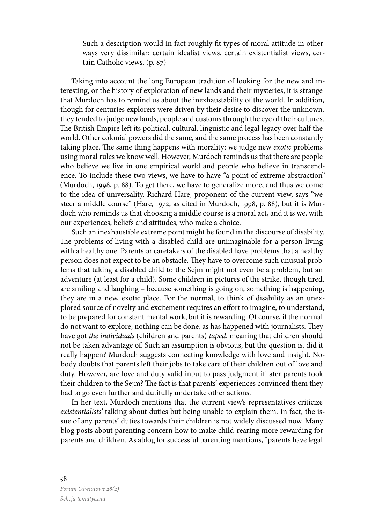Such a description would in fact roughly fit types of moral attitude in other ways very dissimilar; certain idealist views, certain existentialist views, certain Catholic views. (p. 87)

Taking into account the long European tradition of looking for the new and interesting, or the history of exploration of new lands and their mysteries, it is strange that Murdoch has to remind us about the inexhaustability of the world. In addition, though for centuries explorers were driven by their desire to discover the unknown, they tended to judge new lands, people and customs through the eye of their cultures. The British Empire left its political, cultural, linguistic and legal legacy over half the world. Other colonial powers did the same, and the same process has been constantly taking place. The same thing happens with morality: we judge new *exotic* problems using moral rules we know well. However, Murdoch reminds us that there are people who believe we live in one empirical world and people who believe in transcendence. To include these two views, we have to have "a point of extreme abstraction" (Murdoch, 1998, p. 88). To get there, we have to generalize more, and thus we come to the idea of universality. Richard Hare, proponent of the current view, says "we steer a middle course" (Hare, 1972, as cited in Murdoch, 1998, p. 88)*,* but it is Murdoch who reminds us that choosing a middle course is a moral act, and it is we, with our experiences, beliefs and attitudes, who make a choice.

Such an inexhaustible extreme point might be found in the discourse of disability. The problems of living with a disabled child are unimaginable for a person living with a healthy one. Parents or caretakers of the disabled have problems that a healthy person does not expect to be an obstacle. They have to overcome such unusual problems that taking a disabled child to the Sejm might not even be a problem, but an adventure (at least for a child). Some children in pictures of the strike, though tired, are smiling and laughing – because something is going on, something is happening, they are in a new, exotic place. For the normal, to think of disability as an unexplored source of novelty and excitement requires an effort to imagine, to understand, to be prepared for constant mental work, but it is rewarding. Of course, if the normal do not want to explore, nothing can be done, as has happened with journalists. They have got *the individuals* (children and parents) *taped*, meaning that children should not be taken advantage of. Such an assumption is obvious, but the question is, did it really happen? Murdoch suggests connecting knowledge with love and insight. Nobody doubts that parents left their jobs to take care of their children out of love and duty. However, are love and duty valid input to pass judgment if later parents took their children to the Sejm? The fact is that parents' experiences convinced them they had to go even further and dutifully undertake other actions.

In her text, Murdoch mentions that the current view's representatives criticize *existentialists'* talking about duties but being unable to explain them. In fact, the issue of any parents' duties towards their children is not widely discussed now. Many blog posts about parenting concern how to make child-rearing more rewarding for parents and children. As ablog for successful parenting mentions, "parents have legal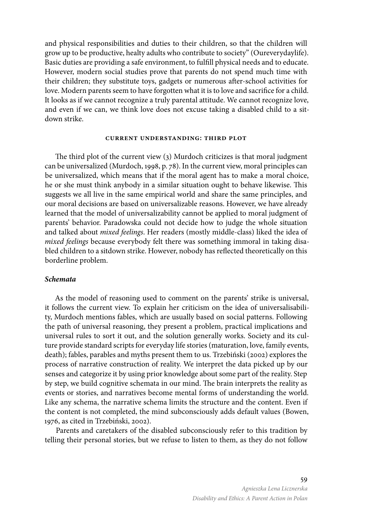and physical responsibilities and duties to their children, so that the children will grow up to be productive, healty adults who contribute to society" (Oureverydaylife). Basic duties are providing a safe environment, to fulfill physical needs and to educate. However, modern social studies prove that parents do not spend much time with their children; they substitute toys, gadgets or numerous after-school activities for love. Modern parents seem to have forgotten what it is to love and sacrifice for a child. It looks as if we cannot recognize a truly parental attitude. We cannot recognize love, and even if we can, we think love does not excuse taking a disabled child to a sitdown strike.

#### **current understanding: third plot**

The third plot of the current view  $(3)$  Murdoch criticizes is that moral judgment can be universalized (Murdoch, 1998, p. 78). In the current view, moral principles can be universalized, which means that if the moral agent has to make a moral choice, he or she must think anybody in a similar situation ought to behave likewise. This suggests we all live in the same empirical world and share the same principles, and our moral decisions are based on universalizable reasons. However, we have already learned that the model of universalizability cannot be applied to moral judgment of parents' behavior. Paradowska could not decide how to judge the whole situation and talked about *mixed feelings*. Her readers (mostly middle-class) liked the idea of *mixed feelings* because everybody felt there was something immoral in taking disabled children to a sitdown strike. However, nobody has reflected theoretically on this borderline problem.

### *Schemata*

As the model of reasoning used to comment on the parents' strike is universal, it follows the current view. To explain her criticism on the idea of universalisability, Murdoch mentions fables, which are usually based on social patterns. Following the path of universal reasoning, they present a problem, practical implications and universal rules to sort it out, and the solution generally works. Society and its culture provide standard scripts for everyday life stories (maturation, love, family events, death); fables, parables and myths present them to us. Trzebiński (2002) explores the process of narrative construction of reality. We interpret the data picked up by our senses and categorize it by using prior knowledge about some part of the reality. Step by step, we build cognitive schemata in our mind. The brain interprets the reality as events or stories, and narratives become mental forms of understanding the world. Like any schema, the narrative schema limits the structure and the content. Even if the content is not completed, the mind subconsciously adds default values (Bowen, 1976, as cited in Trzebiński, 2002).

Parents and caretakers of the disabled subconsciously refer to this tradition by telling their personal stories, but we refuse to listen to them, as they do not follow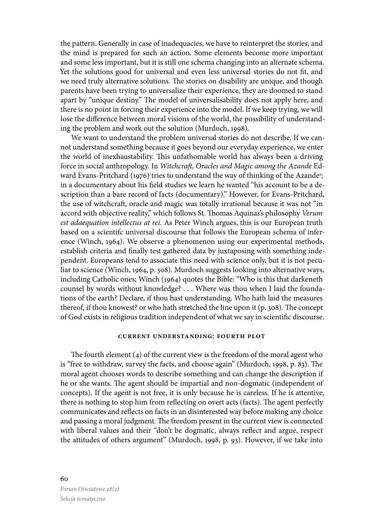the pattern. Generally in case of inadequacies, we have to reinterpret the stories, and the mind is prepared for such an action. Some elements become more important and some less important, but it is still one schema changing into an alternate schema. Yet the solutions good for universal and even less universal stories do not fit, and we need truly alternative solutions. The stories on disability are unique, and though parents have been trying to universalize their experience, they are doomed to stand apart by "unique destiny." The model of universalisability does not apply here, and there is no point in forcing their experience into the model. If we keep trying, we will lose the difference between moral visions of the world, the possibility of understanding the problem and work out the solution (Murdoch, 1998).

We want to understand the problem universal stories do not describe. If we cannot understand something because it goes beyond our everyday experience, we enter the world of inexhaustability. This unfathomable world has always been a driving force in social anthropology. In *Witchcraft, Oracles and Magic among the Azande* Edward Evans-Pritchard (1976) tries to understand the way of thinking of the Azande<sup>3</sup>; in a documentary about his field studies we learn he wanted "his account to be a description than a bare record of facts (documentary)." However, for Evans-Pritchard, the use of witchcraft, oracle and magic was totally irrational because it was not "in accord with objective reality," which follows St. Thomas Aquinas's philosophy *Verum est adaequation intellectus at rei*. As Peter Winch argues, this is our European truth based on a scientifc universal discourse that follows the European schema of inference (Winch, 1964). We observe a phenomenon using our experimental methods, establish criteria and finally test gathered data by juxtaposing with something independent. Europeans tend to associate this need with science only, but it is not peculiar to science (Winch, 1964, p. 308). Murdoch suggests looking into alternative ways, including Catholic ones; Winch (1964) quotes the Bible: "Who is this that darkeneth counsel by words without knowledge? . . . Where was thou when I laid the foundations of the earth? Declare, if thou hast understanding. Who hath laid the measures thereof, if thou knowest? or who hath stretched the line upon it (p. 308)*.* The concept of God exists in religious tradition independent of what we say in scientific discourse.

# **current understanding: fourth plot**

The fourth element  $(4)$  of the current view is the freedom of the moral agent who is "free to withdraw, survey the facts, and choose again" (Murdoch, 1998, p. 83). The moral agent chooses words to describe something and can change the description if he or she wants. The agent should be impartial and non-dogmatic (independent of concepts). If the agent is not free, it is only because he is careless. If he is attentive, there is nothing to stop him from reflecting on overt acts (facts). The agent perfectly communicates and reflects on facts in an disinterested way before making any choice and passing a moral judgment. The freedom present in the current view is connected with liberal values and their "don't be dogmatic, always reflect and argue, respect the attitudes of others argument" (Murdoch, 1998, p. 93). However, if we take into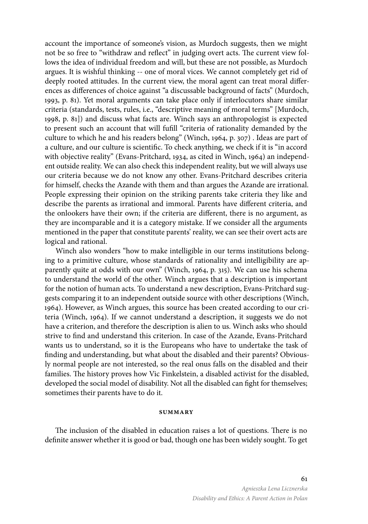account the importance of someone's vision, as Murdoch suggests, then we might not be so free to "withdraw and reflect" in judging overt acts. The current view follows the idea of individual freedom and will, but these are not possible, as Murdoch argues. It is wishful thinking -- one of moral vices. We cannot completely get rid of deeply rooted attitudes. In the current view, the moral agent can treat moral differences as differences of choice against "a discussable background of facts" (Murdoch, 1993, p. 81). Yet moral arguments can take place only if interlocutors share similar criteria (standards, tests, rules, i.e., "descriptive meaning of moral terms" [Murdoch, 1998, p. 81]) and discuss what facts are. Winch says an anthropologist is expected to present such an account that will fufill "criteria of rationality demanded by the culture to which he and his readers belong" (Winch, 1964, p. 307) . Ideas are part of a culture, and our culture is scientific. To check anything, we check if it is "in accord with objective reality" (Evans-Pritchard, 1934, as cited in Winch, 1964) an independent outside reality. We can also check this independent reality, but we will always use our criteria because we do not know any other. Evans-Pritchard describes criteria for himself, checks the Azande with them and than argues the Azande are irrational. People expressing their opinion on the striking parents take criteria they like and describe the parents as irrational and immoral. Parents have different criteria, and the onlookers have their own; if the criteria are different, there is no argument, as they are incomparable and it is a category mistake. If we consider all the arguments mentioned in the paper that constitute parents' reality, we can see their overt acts are logical and rational.

Winch also wonders "how to make intelligible in our terms institutions belonging to a primitive culture, whose standards of rationality and intelligibility are apparently quite at odds with our own" (Winch, 1964, p. 315). We can use his schema to understand the world of the other. Winch argues that a description is important for the notion of human acts. To understand a new description, Evans-Pritchard suggests comparing it to an independent outside source with other descriptions (Winch, 1964). However, as Winch argues, this source has been created according to our criteria (Winch, 1964). If we cannot understand a description, it suggests we do not have a criterion, and therefore the description is alien to us. Winch asks who should strive to find and understand this criterion. In case of the Azande, Evans-Pritchard wants us to understand, so it is the Europeans who have to undertake the task of finding and understanding, but what about the disabled and their parents? Obviously normal people are not interested, so the real onus falls on the disabled and their families. The history proves how Vic Finkelstein, a disabled activist for the disabled, developed the social model of disability. Not all the disabled can fight for themselves; sometimes their parents have to do it.

#### **summary**

The inclusion of the disabled in education raises a lot of questions. There is no definite answer whether it is good or bad, though one has been widely sought. To get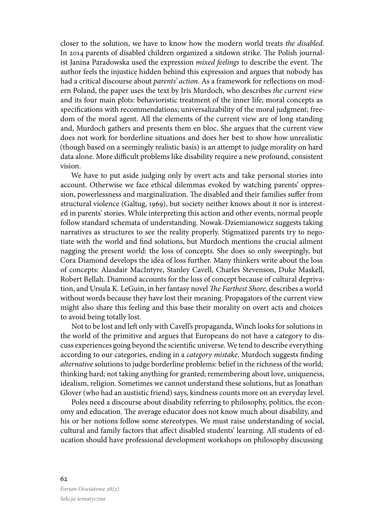closer to the solution, we have to know how the modern world treats *the disabled*. In 2014 parents of disabled children organized a sitdown strike. The Polish journalist Janina Paradowska used the expression *mixed feelings* to describe the event. The author feels the injustice hidden behind this expression and argues that nobody has had a critical discourse about *parents' action*. As a framework for reflections on modern Poland, the paper uses the text by Iris Murdoch, who describes *the current view* and its four main plots: behavioristic treatment of the inner life; moral concepts as specifications with recommendations; universalizability of the moral judgment; freedom of the moral agent. All the elements of the current view are of long standing and, Murdoch gathers and presents them en bloc. She argues that the current view does not work for borderline situations and does her best to show how unrealistic (though based on a seemingly realistic basis) is an attempt to judge morality on hard data alone. More difficult problems like disability require a new profound, consistent vision.

We have to put aside judging only by overt acts and take personal stories into account. Otherwise we face ethical dilemmas evoked by watching parents' oppression, powerlessness and marginalization. The disabled and their families suffer from structural violence (Galtug, 1969), but society neither knows about it nor is interested in parents' stories. While interpreting this action and other events, normal people follow standard schemata of understanding. Nowak-Dziemianowicz suggests taking narratives as structures to see the reality properly. Stigmatized parents try to negotiate with the world and find solutions, but Murdoch mentions the crucial ailment nagging the present world: the loss of concepts. She does so only sweepingly, but Cora Diamond develops the idea of loss further. Many thinkers write about the loss of concepts: Alasdair MacIntyre, Stanley Cavell, Charles Stevenson, Duke Maskell, Robert Bellah. Diamond accounts for the loss of concept because of cultural deprivation, and Ursula K. LeGuin, in her fantasy novel *The Farthest Shore,* describes a world without words because they have lost their meaning. Propagators of the current view might also share this feeling and this base their morality on overt acts and choices to avoid being totally lost.

Not to be lost and left only with Cavell's propaganda, Winch looks for solutions in the world of the primitive and argues that Europeans do not have a category to discuss experiences going beyond the scientific universe. We tend to describe everything according to our categories, ending in a *category mistake*. Murdoch suggests finding *alternative* solutions to judge borderline problems: belief in the richness of the world; thinking hard; not taking anything for granted; remembering about love, uniqueness, idealism, religion. Sometimes we cannot understand these solutions, but as Jonathan Glover (who had an austistic friend) says, kindness counts more on an everyday level.

Poles need a discourse about disability referring to philosophy, politics, the economy and education. The average educator does not know much about disability, and his or her notions follow some stereotypes. We must raise understanding of social, cultural and family factors that affect disabled students' learning. All students of education should have professional development workshops on philosophy discussing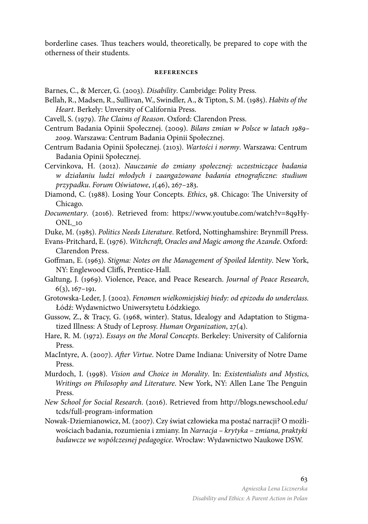borderline cases. Thus teachers would, theoretically, be prepared to cope with the otherness of their students.

#### **references**

Barnes, C., & Mercer, G. (2003). *Disability*. Cambridge: Polity Press.

- Bellah, R., Madsen, R., Sullivan, W., Swindler, A., & Tipton, S. M. (1985). *Habits of the Heart*. Berkely: Unversity of California Press.
- Cavell, S. (1979). *The Claims of Reason*. Oxford: Clarendon Press.
- Centrum Badania Opinii Społecznej. (2009). *Bilans zmian w Polsce w latach 1989– 2009*. Warszawa: Centrum Badania Opinii Społecznej.
- Centrum Badania Opinii Społecznej. (2103). *Wartości i normy*. Warszawa: Centrum Badania Opinii Społecznej.
- Cervinkova, H. (2012). *Nauczanie do zmiany społecznej: uczestniczące badania w działaniu ludzi młodych i zaangażowane badania etnograficzne: studium przypadku*. *Forum Oświatowe*, *1*(46), 267–283.
- Diamond, C. (1988). Losing Your Concepts. *Ethics*, 98. Chicago: The University of Chicago.
- *Documentary*. (2016). Retrieved from: https://www.youtube.com/watch?v=8q9Hy-ONL\_10

Duke, M. (1985). *Politics Needs Literature*. Retford, Nottinghamshire: Brynmill Press.

- Evans-Pritchard, E. (1976). *Witchcraft, Oracles and Magic among the Azande*. Oxford: Clarendon Press.
- Goffman, E. (1963). *Stigma: Notes on the Management of Spoiled Identity*. New York, NY: Englewood Cliffs, Prentice-Hall.
- Galtung, J. (1969). Violence, Peace, and Peace Research. *Journal of Peace Research*,  $6(3), 167-191.$
- Grotowska-Leder, J. (2002). *Fenomen wielkomiejskiej biedy: od epizodu do underclass.* Łódź: Wydawnictwo Uniwersytetu Łódzkiego.
- Gussow, Z., & Tracy, G. (1968, winter). Status, Idealogy and Adaptation to Stigmatized Illness: A Study of Leprosy. *Human Organization*, 27(4).
- Hare, R. M. (1972). *Essays on the Moral Concepts*. Berkeley: University of California Press.
- MacIntyre, A. (2007). *After Virtue*. Notre Dame Indiana: University of Notre Dame Press.
- Murdoch, I. (1998). *Vision and Choice in Morality*. In: *Existentialists and Mystics, Writings on Philosophy and Literature*. New York, NY: Allen Lane The Penguin Press.
- *New School for Social Research*. (2016). Retrieved from [http://blogs.newschool.edu/](http://blogs.newschool.edu/tcds/full-program-information) [tcds/full-program-information](http://blogs.newschool.edu/tcds/full-program-information)
- Nowak-Dziemianowicz, M. (2007). Czy świat człowieka ma postać narracji? O możliwościach badania, rozumienia i zmiany. In *Narracja – krytyka – zmiana, praktyki badawcze we współczesnej pedagogice*. Wrocław: Wydawnictwo Naukowe DSW.